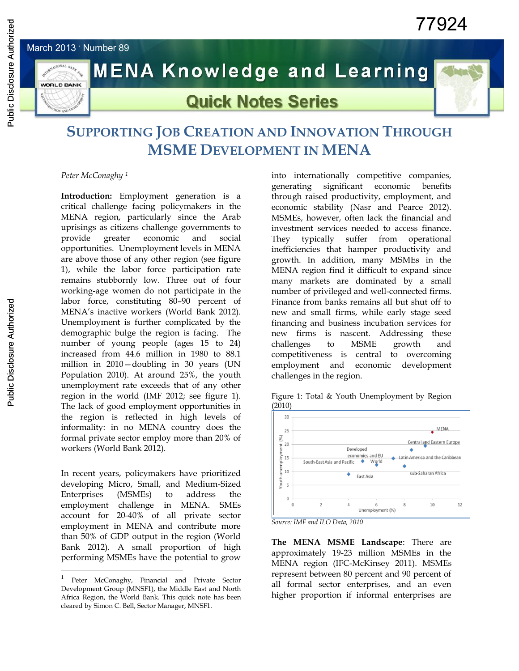March 2013 **.** Number 89

**WORLD BANK** 



# **MENA Knowledge and Learning**

## **Quick Notes Series**

### **SUPPORTING JOB CREATION AND INNOVATION THROUGH MSME DEVELOPMENT IN MENA**

*Peter McConaghy <sup>1</sup>*

**Introduction:** Employment generation is a critical challenge facing policymakers in the MENA region, particularly since the Arab uprisings as citizens challenge governments to provide greater economic and social opportunities. Unemployment levels in MENA are above those of any other region (see figure 1), while the labor force participation rate remains stubbornly low. Three out of four working-age women do not participate in the labor force, constituting 80–90 percent of MENA's inactive workers (World Bank 2012). Unemployment is further complicated by the demographic bulge the region is facing. The number of young people (ages 15 to 24) increased from 44.6 million in 1980 to 88.1 million in 2010—doubling in 30 years (UN Population 2010). At around 25%, the youth unemployment rate exceeds that of any other region in the world (IMF 2012; see figure 1). The lack of good employment opportunities in the region is reflected in high levels of informality: in no MENA country does the formal private sector employ more than 20% of workers (World Bank 2012).

In recent years, policymakers have prioritized developing Micro, Small, and Medium-Sized Enterprises (MSMEs) to address the employment challenge in MENA. SMEs account for 20-40% of all private sector employment in MENA and contribute more than 50% of GDP output in the region (World Bank 2012). A small proportion of high performing MSMEs have the potential to grow

 $\overline{a}$ 

into internationally competitive companies, generating significant economic benefits through raised productivity, employment, and economic stability (Nasr and Pearce 2012). MSMEs, however, often lack the financial and investment services needed to access finance. They typically suffer from operational inefficiencies that hamper productivity and growth. In addition, many MSMEs in the MENA region find it difficult to expand since many markets are dominated by a small number of privileged and well-connected firms. Finance from banks remains all but shut off to new and small firms, while early stage seed financing and business incubation services for new firms is nascent. Addressing these challenges to MSME growth and competitiveness is central to overcoming employment and economic development challenges in the region.







*Source: IMF and ILO Data, 2010*

**The MENA MSME Landscape**: There are approximately 19-23 million MSMEs in the MENA region (IFC-McKinsey 2011). MSMEs represent between 80 percent and 90 percent of all formal sector enterprises, and an even higher proportion if informal enterprises are

<sup>1</sup> Peter McConaghy, Financial and Private Sector Development Group (MNSF1), the Middle East and North Africa Region, the World Bank. This quick note has been cleared by Simon C. Bell, Sector Manager, MNSF1.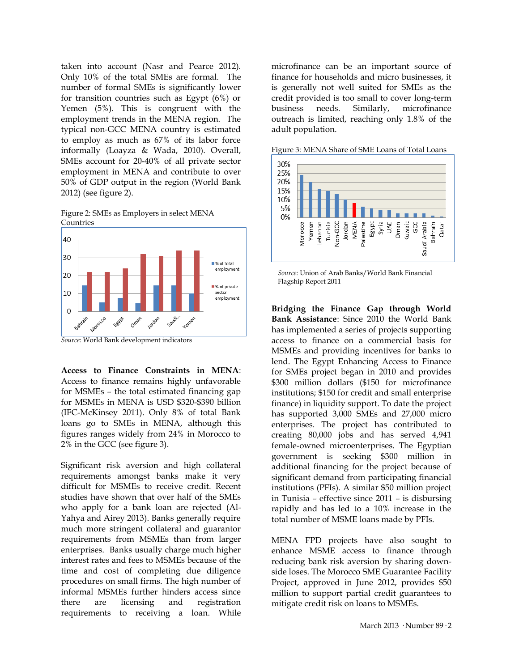taken into account (Nasr and Pearce 2012). Only 10% of the total SMEs are formal. The number of formal SMEs is significantly lower for transition countries such as Egypt (6%) or Yemen (5%). This is congruent with the employment trends in the MENA region. The typical non-GCC MENA country is estimated to employ as much as 67% of its labor force informally (Loayza & Wada, 2010). Overall, SMEs account for 20-40% of all private sector employment in MENA and contribute to over 50% of GDP output in the region (World Bank 2012) (see figure 2).

Figure 2: SMEs as Employers in select MENA **Countries** 



**Access to Finance Constraints in MENA**: Access to finance remains highly unfavorable for MSMEs – the total estimated financing gap for MSMEs in MENA is USD \$320-\$390 billion (IFC-McKinsey 2011). Only 8% of total Bank loans go to SMEs in MENA, although this figures ranges widely from 24% in Morocco to 2% in the GCC (see figure 3).

Significant risk aversion and high collateral requirements amongst banks make it very difficult for MSMEs to receive credit. Recent studies have shown that over half of the SMEs who apply for a bank loan are rejected (Al-Yahya and Airey 2013). Banks generally require much more stringent collateral and guarantor requirements from MSMEs than from larger enterprises. Banks usually charge much higher interest rates and fees to MSMEs because of the time and cost of completing due diligence procedures on small firms. The high number of informal MSMEs further hinders access since there are licensing and registration requirements to receiving a loan. While

microfinance can be an important source of finance for households and micro businesses, it is generally not well suited for SMEs as the credit provided is too small to cover long-term business needs. Similarly, microfinance outreach is limited, reaching only 1.8% of the adult population.



Figure 3: MENA Share of SME Loans of Total Loans

*Source:* Union of Arab Banks/World Bank Financial Flagship Report 2011

**Bridging the Finance Gap through World Bank Assistance**: Since 2010 the World Bank has implemented a series of projects supporting access to finance on a commercial basis for MSMEs and providing incentives for banks to lend. The Egypt Enhancing Access to Finance for SMEs project began in 2010 and provides \$300 million dollars (\$150 for microfinance institutions; \$150 for credit and small enterprise finance) in liquidity support. To date the project has supported 3,000 SMEs and 27,000 micro enterprises. The project has contributed to creating 80,000 jobs and has served 4,941 female-owned microenterprises. The Egyptian government is seeking \$300 million in additional financing for the project because of significant demand from participating financial institutions (PFIs). A similar \$50 million project in Tunisia – effective since 2011 – is disbursing rapidly and has led to a 10% increase in the total number of MSME loans made by PFIs.

MENA FPD projects have also sought to enhance MSME access to finance through reducing bank risk aversion by sharing downside loses. The Morocco SME Guarantee Facility Project, approved in June 2012, provides \$50 million to support partial credit guarantees to mitigate credit risk on loans to MSMEs.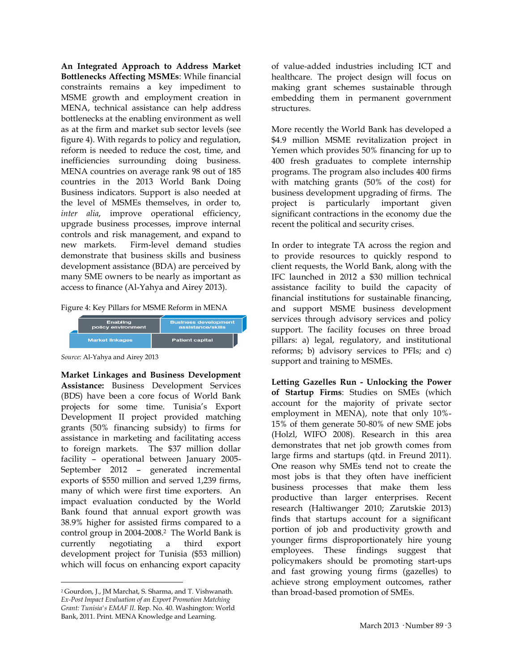**An Integrated Approach to Address Market Bottlenecks Affecting MSMEs**: While financial constraints remains a key impediment to MSME growth and employment creation in MENA, technical assistance can help address bottlenecks at the enabling environment as well as at the firm and market sub sector levels (see figure 4). With regards to policy and regulation, reform is needed to reduce the cost, time, and inefficiencies surrounding doing business. MENA countries on average rank 98 out of 185 countries in the 2013 World Bank Doing Business indicators. Support is also needed at the level of MSMEs themselves, in order to, *inter alia*, improve operational efficiency, upgrade business processes, improve internal controls and risk management, and expand to new markets. Firm-level demand studies demonstrate that business skills and business development assistance (BDA) are perceived by many SME owners to be nearly as important as access to finance (Al-Yahya and Airey 2013).

Figure 4: Key Pillars for MSME Reform in MENA

| Enabling               | <b>Business development</b> |
|------------------------|-----------------------------|
| policy environment     | assistance/skills           |
| <b>Market linkages</b> | <b>Patient capital</b>      |

*Source:* Al-Yahya and Airey 2013

**Market Linkages and Business Development Assistance:** Business Development Services (BDS) have been a core focus of World Bank projects for some time. Tunisia's Export Development II project provided matching grants (50% financing subsidy) to firms for assistance in marketing and facilitating access to foreign markets. The \$37 million dollar facility – operational between January 2005- September 2012 – generated incremental exports of \$550 million and served 1,239 firms, many of which were first time exporters. An impact evaluation conducted by the World Bank found that annual export growth was 38.9% higher for assisted firms compared to a control group in 2004-2008.<sup>2</sup> The World Bank is currently negotiating a third export development project for Tunisia (\$53 million) which will focus on enhancing export capacity

 $\overline{a}$ <sup>2</sup> Gourdon, J., JM Marchat, S. Sharma, and T. Vishwanath. *Ex-Post Impact Evaluation of an Export Promotion Matching Grant: Tunisia's EMAF II*. Rep. No. 40. Washington: World Bank, 2011. Print. MENA Knowledge and Learning.

of value-added industries including ICT and healthcare. The project design will focus on making grant schemes sustainable through embedding them in permanent government structures.

More recently the World Bank has developed a \$4.9 million MSME revitalization project in Yemen which provides 50% financing for up to 400 fresh graduates to complete internship programs. The program also includes 400 firms with matching grants (50% of the cost) for business development upgrading of firms. The project is particularly important given significant contractions in the economy due the recent the political and security crises.

In order to integrate TA across the region and to provide resources to quickly respond to client requests, the World Bank, along with the IFC launched in 2012 a \$30 million technical assistance facility to build the capacity of financial institutions for sustainable financing, and support MSME business development services through advisory services and policy support. The facility focuses on three broad pillars: a) legal, regulatory, and institutional reforms; b) advisory services to PFIs; and c) support and training to MSMEs.

**Letting Gazelles Run - Unlocking the Power of Startup Firms**: Studies on SMEs (which account for the majority of private sector employment in MENA), note that only 10%- 15% of them generate 50-80% of new SME jobs (Holzl, WIFO 2008). Research in this area demonstrates that net job growth comes from large firms and startups (qtd. in Freund 2011). One reason why SMEs tend not to create the most jobs is that they often have inefficient business processes that make them less productive than larger enterprises. Recent research (Haltiwanger 2010; Zarutskie 2013) finds that startups account for a significant portion of job and productivity growth and younger firms disproportionately hire young employees. These findings suggest that policymakers should be promoting start-ups and fast growing young firms (gazelles) to achieve strong employment outcomes, rather than broad-based promotion of SMEs.